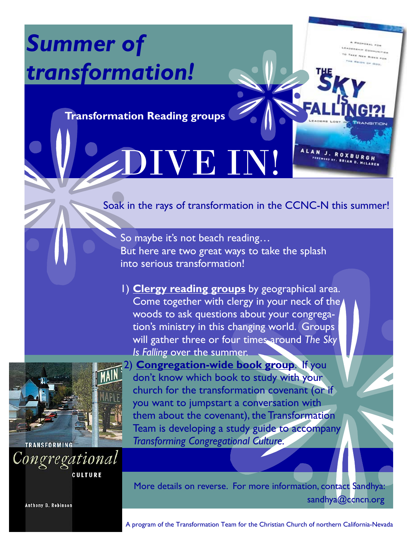## *Summer of transformation!*

**Transformation Reading groups** 

## VE I

Soak in the rays of transformation in the CCNC-N this summer!

ALAN J. ROXBUR

So maybe it's not beach reading… But here are two great ways to take the splash into serious transformation!

1) **Clergy reading groups** by geographical area. Come together with clergy in your neck of the woods to ask questions about your congregation's ministry in this changing world. Groups will gather three or four times around *The Sky Is Falling* over the summer.



Congregational

2) **Congregation-wide book group**. If you don't know which book to study with your church for the transformation covenant (or if you want to jumpstart a conversation with them about the covenant), the Transformation Team is developing a study guide to accompany *Transforming Congregational Culture.*

**CULTURE** 

**Anthony B. Robinson** 

More details on reverse. For more information, contact Sandhya: sandhya@ccncn.org